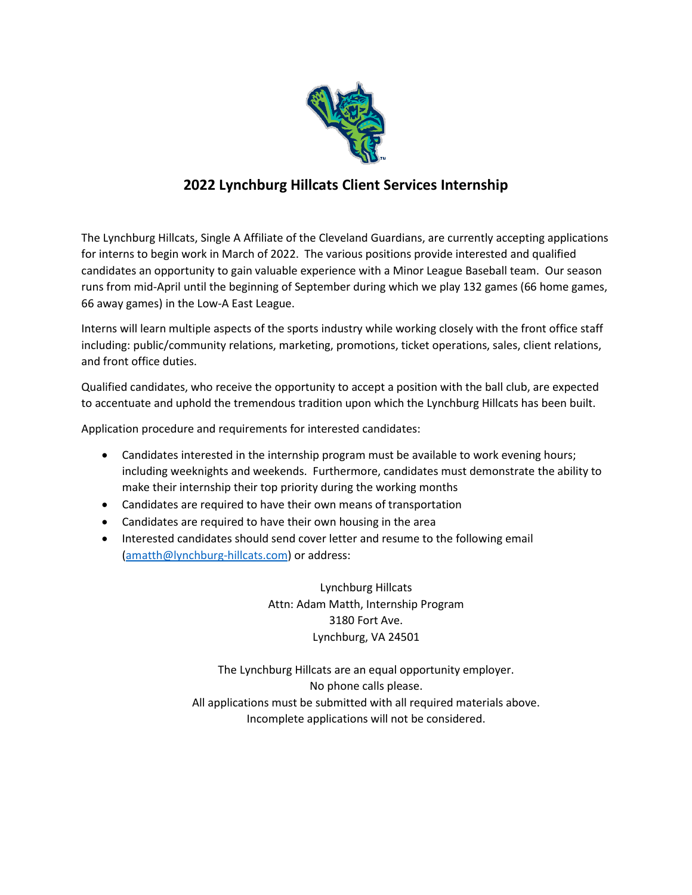

## **2022 Lynchburg Hillcats Client Services Internship**

The Lynchburg Hillcats, Single A Affiliate of the Cleveland Guardians, are currently accepting applications for interns to begin work in March of 2022. The various positions provide interested and qualified candidates an opportunity to gain valuable experience with a Minor League Baseball team. Our season runs from mid-April until the beginning of September during which we play 132 games (66 home games, 66 away games) in the Low-A East League.

Interns will learn multiple aspects of the sports industry while working closely with the front office staff including: public/community relations, marketing, promotions, ticket operations, sales, client relations, and front office duties.

Qualified candidates, who receive the opportunity to accept a position with the ball club, are expected to accentuate and uphold the tremendous tradition upon which the Lynchburg Hillcats has been built.

Application procedure and requirements for interested candidates:

- Candidates interested in the internship program must be available to work evening hours; including weeknights and weekends. Furthermore, candidates must demonstrate the ability to make their internship their top priority during the working months
- Candidates are required to have their own means of transportation
- Candidates are required to have their own housing in the area
- Interested candidates should send cover letter and resume to the following email [\(amatth@lynchburg-hillcats.com\)](mailto:amatth@lynchburg-hillcats.com) or address:

Lynchburg Hillcats Attn: Adam Matth, Internship Program 3180 Fort Ave. Lynchburg, VA 24501

The Lynchburg Hillcats are an equal opportunity employer. No phone calls please. All applications must be submitted with all required materials above. Incomplete applications will not be considered.